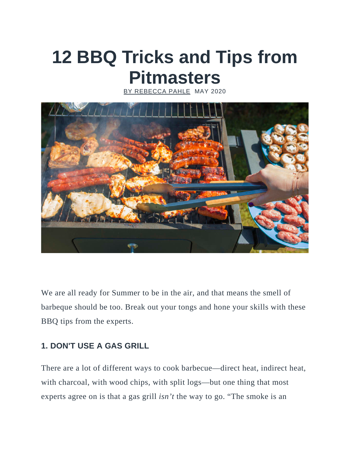# **12 BBQ Tricks and Tips from Pitmasters**

CCA PAHLE MAY 2020



We are all ready for Summer to be in the air, and that means the smell of barbeque should be too. Break out your tongs and hone your skills with these BBQ tips from the experts.

# **1. DON'T USE A GAS GRILL**

There are a lot of different ways to cook barbecue—direct heat, indirect heat, with charcoal, with wood chips, with split logs—but one thing that most experts agree on is that a gas grill *isn't* the way to go. "The smoke is an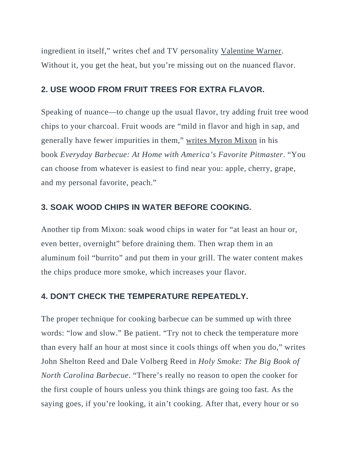ingredient in itself," writes chef and TV personality [Valentine Warner.](http://www.bbcgoodfood.com/howto/guide/top-chefs-tips-cooking-outdoors) Without it, you get the heat, but you're missing out on the nuanced flavor.

## **2. USE WOOD FROM FRUIT TREES FOR EXTRA FLAVOR.**

Speaking of nuance—to change up the usual flavor, try adding fruit tree wood chips to your charcoal. Fruit woods are "mild in flavor and high in sap, and generally have fewer impurities in them," [writes Myron Mixon](https://books.google.de/books?id=AXOsgZBW3xUC&pg=PT27&lpg=PT27&dq=mild+in+flavor,+and+high+in+sap,+and+generally+have+fewer+impurities+in+them&source=bl&ots=AyCvNBXTOf&sig=O7xrDPBWi1YojKMNTYfAjbVmQKg&hl=en&sa=X&redir_esc=y#v=onepage&q=mild%20in%20flavor%2C%20and%20high%20in%20sap%2C%20and%20generally%20have%20fewer%20impurities%20in%20them&f=false) in his book *Everyday Barbecue: At Home with America's Favorite Pitmaster*. "You can choose from whatever is easiest to find near you: apple, cherry, grape, and my personal favorite, peach."

## **3. SOAK WOOD CHIPS IN WATER BEFORE COOKING.**

Another tip from Mixon: soak wood chips in water for "at least an hour or, even better, overnight" before draining them. Then wrap them in an aluminum foil "burrito" and put them in your grill. The water content makes the chips produce more smoke, which increases your flavor.

#### **4. DON'T CHECK THE TEMPERATURE REPEATEDLY.**

The proper technique for cooking barbecue can be summed up with three words: "low and slow." Be patient. "Try not to check the temperature more than every half an hour at most since it cools things off when you do," writes John Shelton Reed and Dale Volberg Reed in *[Holy Smoke: The Big Book of](https://books.google.com/books?id=JFrqCQAAQBAJ&pg=PA98&lpg=PA98&dq=%E2%80%9CIF+YOU%E2%80%99RE+LOOKING,+IT+AIN%E2%80%99T+COOKING.%E2%80%9D&source=bl&ots=EoEXZekznO&sig=VVC7mLVuvf9JTVLRMkl8Ya639fY&hl=en&sa=X&ved=0ahUKEwiI7LGC3ebMAhWJVj4KHVgqCz4Q6AEIITAB#v=onepage&q=%E2%80%9CIF%20YOU%E2%80%99RE%20LOOKING%2C%20IT%20AIN%E2%80%99T%20COOKING.%E2%80%9D&f=false)  [North Carolina Barbecue](https://books.google.com/books?id=JFrqCQAAQBAJ&pg=PA98&lpg=PA98&dq=%E2%80%9CIF+YOU%E2%80%99RE+LOOKING,+IT+AIN%E2%80%99T+COOKING.%E2%80%9D&source=bl&ots=EoEXZekznO&sig=VVC7mLVuvf9JTVLRMkl8Ya639fY&hl=en&sa=X&ved=0ahUKEwiI7LGC3ebMAhWJVj4KHVgqCz4Q6AEIITAB#v=onepage&q=%E2%80%9CIF%20YOU%E2%80%99RE%20LOOKING%2C%20IT%20AIN%E2%80%99T%20COOKING.%E2%80%9D&f=false)*. "There's really no reason to open the cooker for the first couple of hours unless you think things are going too fast. As the saying goes, if you're looking, it ain't cooking. After that, every hour or so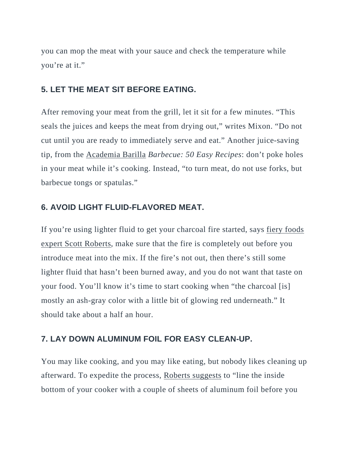you can mop the meat with your sauce and check the temperature while you're at it."

## **5. LET THE MEAT SIT BEFORE EATING.**

After removing your meat from the grill, let it sit for a few minutes. "This seals the juices and keeps the meat from drying out," writes Mixon. "Do not cut until you are ready to immediately serve and eat." Another juice-saving tip, from the [Academia Barilla](http://www.academiabarilla.com/) *Barbecue: 50 Easy Recipes*: don't poke holes in your meat while it's cooking. Instead, "to turn meat, do not use forks, but barbecue tongs or spatulas."

#### **6. AVOID LIGHT FLUID-FLAVORED MEAT.**

If you're using lighter fluid to get your charcoal fire started, says [fiery foods](http://www.scottrobertsweb.com/23-bbq-and-grilling-tips-and-tricks-you-need-to-know/)  [expert Scott Roberts,](http://www.scottrobertsweb.com/23-bbq-and-grilling-tips-and-tricks-you-need-to-know/) make sure that the fire is completely out before you introduce meat into the mix. If the fire's not out, then there's still some lighter fluid that hasn't been burned away, and you do not want that taste on your food. You'll know it's time to start cooking when "the charcoal [is] mostly an ash-gray color with a little bit of glowing red underneath." It should take about a half an hour.

#### **7. LAY DOWN ALUMINUM FOIL FOR EASY CLEAN-UP.**

You may like cooking, and you may like eating, but nobody likes cleaning up afterward. To expedite the process, [Roberts suggests](http://www.scottrobertsweb.com/23-bbq-and-grilling-tips-and-tricks-you-need-to-know/) to "line the inside bottom of your cooker with a couple of sheets of aluminum foil before you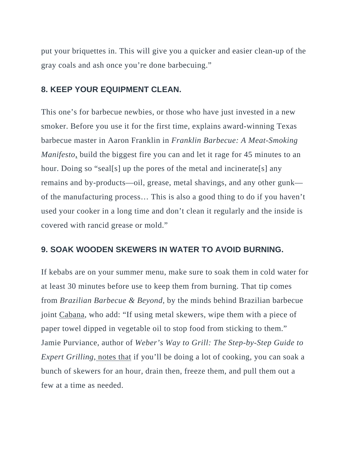put your briquettes in. This will give you a quicker and easier clean-up of the gray coals and ash once you're done barbecuing."

#### **8. KEEP YOUR EQUIPMENT CLEAN.**

This one's for barbecue newbies, or those who have just invested in a new smoker. Before you use it for the first time, explains award-winning Texas barbecue master in Aaron Franklin in *[Franklin Barbecue: A Meat-Smoking](https://books.google.com/books?id=gzudBAAAQBAJ&pg=PT124&lpg=PT124&dq=franklin+barbecue+a+meat-smoking+manifesto+This+is+also+a+good+thing+to+do+if+you+haven%E2%80%99t+used+your+cooker+in+a+long+time+and+don%E2%80%99t+clean+it+regularly+and+the+inside+is+covered+with+rancid+grease+or+mold.&source=bl&ots=c2rehc4HKA&sig=87gklZm9qixCfDJinEcirVDi5Co&hl=en&sa=X&ved=0ahUKEwiyi_rUgenMAhXCpR4KHe19BgMQ6AEIHDAA#v=onepage&q=franklin%20barbecue%20a%20meat-smoking%20manifesto%20This%20is%20also%20a%20good%20thing%20to%20do%20if%20you%20haven%E2%80%99t%20used%20your%20cooker%20in%20a%20long%20time%20and%20don%E2%80%99t%20clean%20it%20regularly%20and%20the%20inside%20is%20covered%20with%20rancid%20grease%20or%20mold.&f=false)  [Manifesto](https://books.google.com/books?id=gzudBAAAQBAJ&pg=PT124&lpg=PT124&dq=franklin+barbecue+a+meat-smoking+manifesto+This+is+also+a+good+thing+to+do+if+you+haven%E2%80%99t+used+your+cooker+in+a+long+time+and+don%E2%80%99t+clean+it+regularly+and+the+inside+is+covered+with+rancid+grease+or+mold.&source=bl&ots=c2rehc4HKA&sig=87gklZm9qixCfDJinEcirVDi5Co&hl=en&sa=X&ved=0ahUKEwiyi_rUgenMAhXCpR4KHe19BgMQ6AEIHDAA#v=onepage&q=franklin%20barbecue%20a%20meat-smoking%20manifesto%20This%20is%20also%20a%20good%20thing%20to%20do%20if%20you%20haven%E2%80%99t%20used%20your%20cooker%20in%20a%20long%20time%20and%20don%E2%80%99t%20clean%20it%20regularly%20and%20the%20inside%20is%20covered%20with%20rancid%20grease%20or%20mold.&f=false)*, build the biggest fire you can and let it rage for 45 minutes to an hour. Doing so "seal[s] up the pores of the metal and incinerate[s] any remains and by-products—oil, grease, metal shavings, and any other gunk of the manufacturing process… This is also a good thing to do if you haven't used your cooker in a long time and don't clean it regularly and the inside is covered with rancid grease or mold."

#### **9. SOAK WOODEN SKEWERS IN WATER TO AVOID BURNING.**

If kebabs are on your summer menu, make sure to soak them in cold water for at least 30 minutes before use to keep them from burning. That tip comes from *Brazilian Barbecue & Beyond*, by the minds behind Brazilian barbecue joint [Cabana,](http://cabana-brasil.com/) who add: "If using metal skewers, wipe them with a piece of paper towel dipped in vegetable oil to stop food from sticking to them." Jamie Purviance, author of *Weber's Way to Grill: The Step-by-Step Guide to Expert Grilling,* [notes that](http://www.bhg.com/recipes/grilling/basics/grilling-tips-from-pros/#page=4) if you'll be doing a lot of cooking, you can soak a bunch of skewers for an hour, drain then, freeze them, and pull them out a few at a time as needed.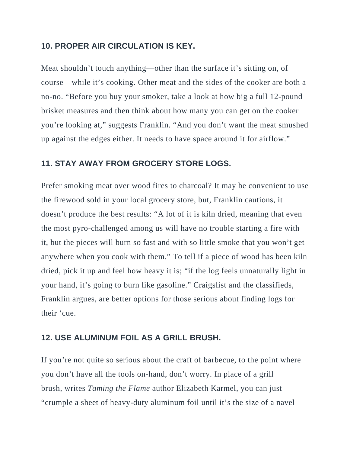#### **10. PROPER AIR CIRCULATION IS KEY.**

Meat shouldn't touch anything—other than the surface it's sitting on, of course—while it's cooking. Other meat and the sides of the cooker are both a no-no. "Before you buy your smoker, take a look at how big a full 12-pound brisket measures and then think about how many you can get on the cooker you're looking at," suggests Franklin. "And you don't want the meat smushed up against the edges either. It needs to have space around it for airflow."

## **11. STAY AWAY FROM GROCERY STORE LOGS.**

Prefer smoking meat over wood fires to charcoal? It may be convenient to use the firewood sold in your local grocery store, but, Franklin cautions, it doesn't produce the best results: "A lot of it is kiln dried, meaning that even the most pyro-challenged among us will have no trouble starting a fire with it, but the pieces will burn so fast and with so little smoke that you won't get anywhere when you cook with them." To tell if a piece of wood has been kiln dried, pick it up and feel how heavy it is; "if the log feels unnaturally light in your hand, it's going to burn like gasoline." Craigslist and the classifieds, Franklin argues, are better options for those serious about finding logs for their 'cue.

# **12. USE ALUMINUM FOIL AS A GRILL BRUSH.**

If you're not quite so serious about the craft of barbecue, to the point where you don't have all the tools on-hand, don't worry. In place of a grill brush, [writes](http://www.bhg.com/recipes/grilling/basics/grilling-tips-from-pros/#page=2) *Taming the Flame* author Elizabeth Karmel, you can just "crumple a sheet of heavy-duty aluminum foil until it's the size of a navel